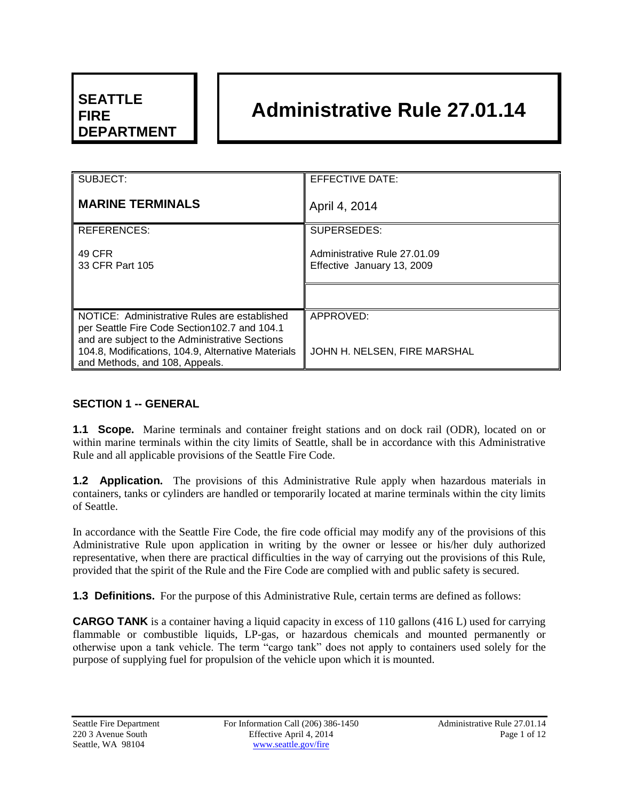# **SEATTLE FIRE DEPARTMENT**

# **Administrative Rule 27.01.14**

| SUBJECT:                                                                                                                                        | <b>EFFECTIVE DATE:</b>                                     |
|-------------------------------------------------------------------------------------------------------------------------------------------------|------------------------------------------------------------|
| <b>MARINE TERMINALS</b>                                                                                                                         | April 4, 2014                                              |
| <b>REFERENCES:</b>                                                                                                                              | SUPERSEDES:                                                |
| 49 CFR<br>33 CFR Part 105                                                                                                                       | Administrative Rule 27.01.09<br>Effective January 13, 2009 |
|                                                                                                                                                 |                                                            |
| NOTICE: Administrative Rules are established<br>per Seattle Fire Code Section 102.7 and 104.1<br>and are subject to the Administrative Sections | APPROVED:                                                  |
| 104.8, Modifications, 104.9, Alternative Materials<br>and Methods, and 108, Appeals.                                                            | JOHN H. NELSEN, FIRE MARSHAL                               |

# **SECTION 1 -- GENERAL**

**1.1 Scope.** Marine terminals and container freight stations and on dock rail (ODR), located on or within marine terminals within the city limits of Seattle, shall be in accordance with this Administrative Rule and all applicable provisions of the Seattle Fire Code.

**1.2 Application.** The provisions of this Administrative Rule apply when hazardous materials in containers, tanks or cylinders are handled or temporarily located at marine terminals within the city limits of Seattle.

In accordance with the Seattle Fire Code, the fire code official may modify any of the provisions of this Administrative Rule upon application in writing by the owner or lessee or his/her duly authorized representative, when there are practical difficulties in the way of carrying out the provisions of this Rule, provided that the spirit of the Rule and the Fire Code are complied with and public safety is secured.

**1.3 Definitions.** For the purpose of this Administrative Rule, certain terms are defined as follows:

**CARGO TANK** is a container having a liquid capacity in excess of 110 gallons (416 L) used for carrying flammable or combustible liquids, LP-gas, or hazardous chemicals and mounted permanently or otherwise upon a tank vehicle. The term "cargo tank" does not apply to containers used solely for the purpose of supplying fuel for propulsion of the vehicle upon which it is mounted.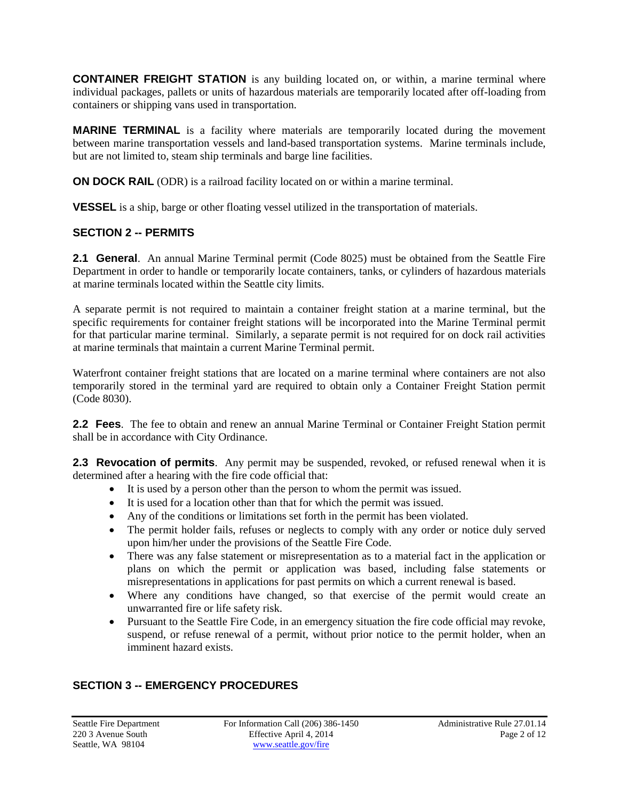**CONTAINER FREIGHT STATION** is any building located on, or within, a marine terminal where individual packages, pallets or units of hazardous materials are temporarily located after off-loading from containers or shipping vans used in transportation.

**MARINE TERMINAL** is a facility where materials are temporarily located during the movement between marine transportation vessels and land-based transportation systems. Marine terminals include, but are not limited to, steam ship terminals and barge line facilities.

**ON DOCK RAIL** (ODR) is a railroad facility located on or within a marine terminal.

**VESSEL** is a ship, barge or other floating vessel utilized in the transportation of materials.

#### **SECTION 2 -- PERMITS**

**2.1 General**. An annual Marine Terminal permit (Code 8025) must be obtained from the Seattle Fire Department in order to handle or temporarily locate containers, tanks, or cylinders of hazardous materials at marine terminals located within the Seattle city limits.

A separate permit is not required to maintain a container freight station at a marine terminal, but the specific requirements for container freight stations will be incorporated into the Marine Terminal permit for that particular marine terminal. Similarly, a separate permit is not required for on dock rail activities at marine terminals that maintain a current Marine Terminal permit.

Waterfront container freight stations that are located on a marine terminal where containers are not also temporarily stored in the terminal yard are required to obtain only a Container Freight Station permit (Code 8030).

**2.2 Fees**. The fee to obtain and renew an annual Marine Terminal or Container Freight Station permit shall be in accordance with City Ordinance.

**2.3 Revocation of permits**. Any permit may be suspended, revoked, or refused renewal when it is determined after a hearing with the fire code official that:

- It is used by a person other than the person to whom the permit was issued.
- It is used for a location other than that for which the permit was issued.
- Any of the conditions or limitations set forth in the permit has been violated.
- The permit holder fails, refuses or neglects to comply with any order or notice duly served upon him/her under the provisions of the Seattle Fire Code.
- There was any false statement or misrepresentation as to a material fact in the application or plans on which the permit or application was based, including false statements or misrepresentations in applications for past permits on which a current renewal is based.
- Where any conditions have changed, so that exercise of the permit would create an unwarranted fire or life safety risk.
- Pursuant to the Seattle Fire Code, in an emergency situation the fire code official may revoke, suspend, or refuse renewal of a permit, without prior notice to the permit holder, when an imminent hazard exists.

# **SECTION 3 -- EMERGENCY PROCEDURES**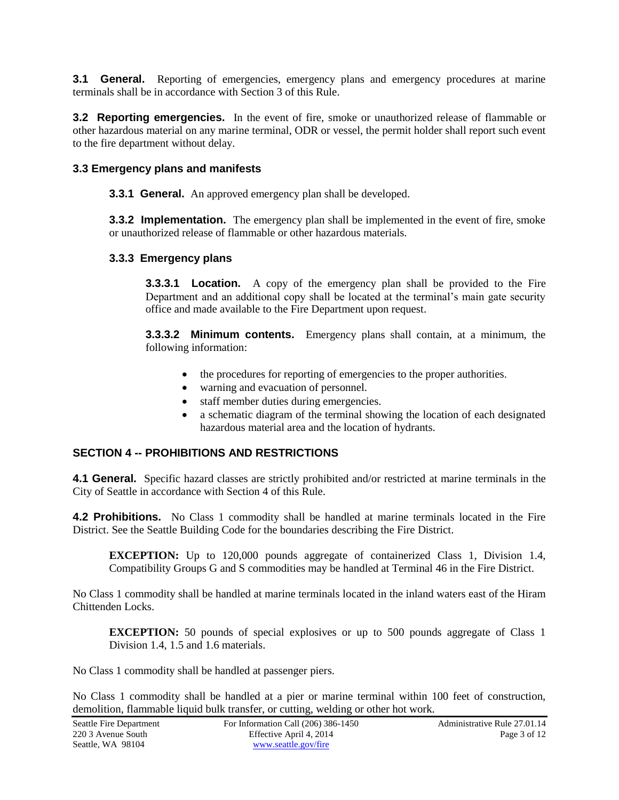**3.1 General.** Reporting of emergencies, emergency plans and emergency procedures at marine terminals shall be in accordance with Section 3 of this Rule.

**3.2 Reporting emergencies.** In the event of fire, smoke or unauthorized release of flammable or other hazardous material on any marine terminal, ODR or vessel, the permit holder shall report such event to the fire department without delay.

#### **3.3 Emergency plans and manifests**

**3.3.1 General.** An approved emergency plan shall be developed.

**3.3.2 Implementation.** The emergency plan shall be implemented in the event of fire, smoke or unauthorized release of flammable or other hazardous materials.

#### **3.3.3 Emergency plans**

**3.3.3.1 Location.** A copy of the emergency plan shall be provided to the Fire Department and an additional copy shall be located at the terminal's main gate security office and made available to the Fire Department upon request.

**3.3.3.2 Minimum contents.** Emergency plans shall contain, at a minimum, the following information:

- the procedures for reporting of emergencies to the proper authorities.
- warning and evacuation of personnel.
- staff member duties during emergencies.
- a schematic diagram of the terminal showing the location of each designated hazardous material area and the location of hydrants.

#### **SECTION 4 -- PROHIBITIONS AND RESTRICTIONS**

**4.1 General.** Specific hazard classes are strictly prohibited and/or restricted at marine terminals in the City of Seattle in accordance with Section 4 of this Rule.

**4.2 Prohibitions.** No Class 1 commodity shall be handled at marine terminals located in the Fire District. See the Seattle Building Code for the boundaries describing the Fire District.

**EXCEPTION:** Up to 120,000 pounds aggregate of containerized Class 1, Division 1.4, Compatibility Groups G and S commodities may be handled at Terminal 46 in the Fire District.

No Class 1 commodity shall be handled at marine terminals located in the inland waters east of the Hiram Chittenden Locks.

**EXCEPTION:** 50 pounds of special explosives or up to 500 pounds aggregate of Class 1 Division 1.4, 1.5 and 1.6 materials.

No Class 1 commodity shall be handled at passenger piers.

No Class 1 commodity shall be handled at a pier or marine terminal within 100 feet of construction, demolition, flammable liquid bulk transfer, or cutting, welding or other hot work.

| Seattle Fire Department | For Information Call $(206)$ 386-1450 | Administrative Rule 27.01.14 |
|-------------------------|---------------------------------------|------------------------------|
| 220 3 Avenue South      | Effective April 4, 2014               | Page 3 of 12                 |
| Seattle, WA 98104       | www.seattle.gov/fire                  |                              |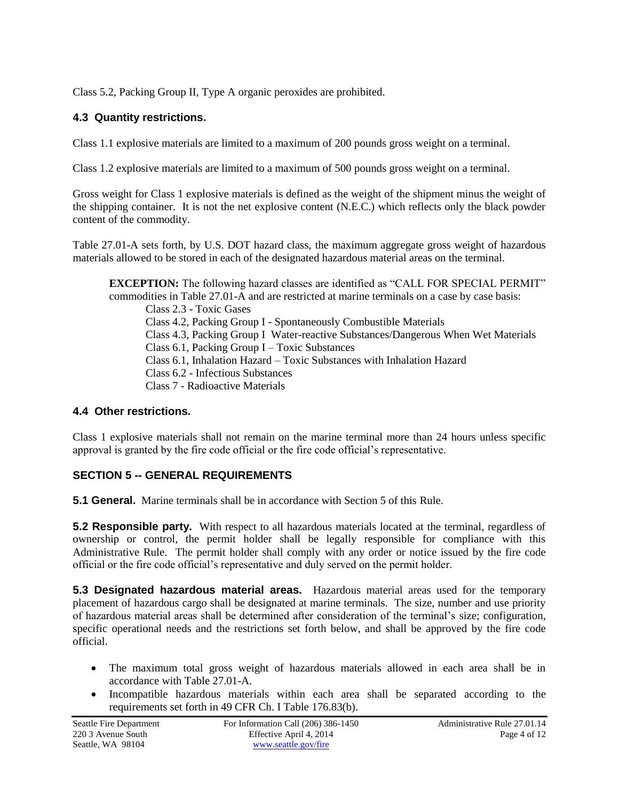Class 5.2, Packing Group II, Type A organic peroxides are prohibited.

# **4.3 Quantity restrictions.**

Class 1.1 explosive materials are limited to a maximum of 200 pounds gross weight on a terminal.

Class 1.2 explosive materials are limited to a maximum of 500 pounds gross weight on a terminal.

Gross weight for Class 1 explosive materials is defined as the weight of the shipment minus the weight of the shipping container. It is not the net explosive content (N.E.C.) which reflects only the black powder content of the commodity.

Table 27.01-A sets forth, by U.S. DOT hazard class, the maximum aggregate gross weight of hazardous materials allowed to be stored in each of the designated hazardous material areas on the terminal.

**EXCEPTION:** The following hazard classes are identified as "CALL FOR SPECIAL PERMIT" commodities in Table 27.01-A and are restricted at marine terminals on a case by case basis: Class 2.3 - Toxic Gases Class 4.2, Packing Group I - Spontaneously Combustible Materials Class 4.3, Packing Group I Water-reactive Substances/Dangerous When Wet Materials Class 6.1, Packing Group I – Toxic Substances Class 6.1, Inhalation Hazard – Toxic Substances with Inhalation Hazard Class 6.2 - Infectious Substances Class 7 - Radioactive Materials

# **4.4 Other restrictions.**

Class 1 explosive materials shall not remain on the marine terminal more than 24 hours unless specific approval is granted by the fire code official or the fire code official's representative.

# **SECTION 5 -- GENERAL REQUIREMENTS**

**5.1 General.** Marine terminals shall be in accordance with Section 5 of this Rule.

**5.2 Responsible party.** With respect to all hazardous materials located at the terminal, regardless of ownership or control, the permit holder shall be legally responsible for compliance with this Administrative Rule. The permit holder shall comply with any order or notice issued by the fire code official or the fire code official's representative and duly served on the permit holder.

**5.3 Designated hazardous material areas.** Hazardous material areas used for the temporary placement of hazardous cargo shall be designated at marine terminals. The size, number and use priority of hazardous material areas shall be determined after consideration of the terminal's size; configuration, specific operational needs and the restrictions set forth below, and shall be approved by the fire code official.

- The maximum total gross weight of hazardous materials allowed in each area shall be in accordance with Table 27.01-A.
- Incompatible hazardous materials within each area shall be separated according to the requirements set forth in 49 CFR Ch. I Table 176.83(b).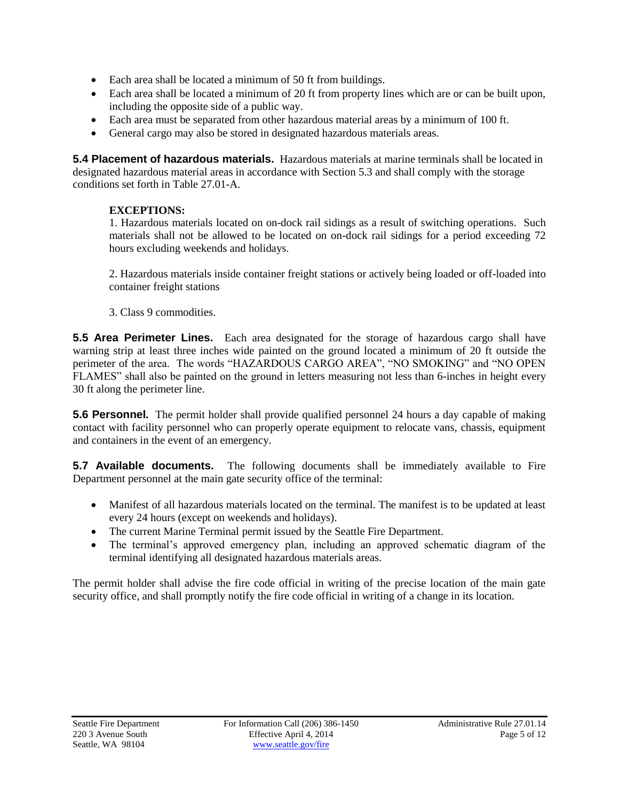- Each area shall be located a minimum of 50 ft from buildings.
- Each area shall be located a minimum of 20 ft from property lines which are or can be built upon, including the opposite side of a public way.
- Each area must be separated from other hazardous material areas by a minimum of 100 ft.
- General cargo may also be stored in designated hazardous materials areas.

**5.4 Placement of hazardous materials.** Hazardous materials at marine terminals shall be located in designated hazardous material areas in accordance with Section 5.3 and shall comply with the storage conditions set forth in Table 27.01-A.

# **EXCEPTIONS:**

1. Hazardous materials located on on-dock rail sidings as a result of switching operations. Such materials shall not be allowed to be located on on-dock rail sidings for a period exceeding 72 hours excluding weekends and holidays.

2. Hazardous materials inside container freight stations or actively being loaded or off-loaded into container freight stations

3. Class 9 commodities.

**5.5 Area Perimeter Lines.** Each area designated for the storage of hazardous cargo shall have warning strip at least three inches wide painted on the ground located a minimum of 20 ft outside the perimeter of the area. The words "HAZARDOUS CARGO AREA", "NO SMOKING" and "NO OPEN FLAMES" shall also be painted on the ground in letters measuring not less than 6-inches in height every 30 ft along the perimeter line.

**5.6 Personnel.** The permit holder shall provide qualified personnel 24 hours a day capable of making contact with facility personnel who can properly operate equipment to relocate vans, chassis, equipment and containers in the event of an emergency.

**5.7 Available documents.** The following documents shall be immediately available to Fire Department personnel at the main gate security office of the terminal:

- Manifest of all hazardous materials located on the terminal. The manifest is to be updated at least every 24 hours (except on weekends and holidays).
- The current Marine Terminal permit issued by the Seattle Fire Department.
- The terminal's approved emergency plan, including an approved schematic diagram of the terminal identifying all designated hazardous materials areas.

The permit holder shall advise the fire code official in writing of the precise location of the main gate security office, and shall promptly notify the fire code official in writing of a change in its location.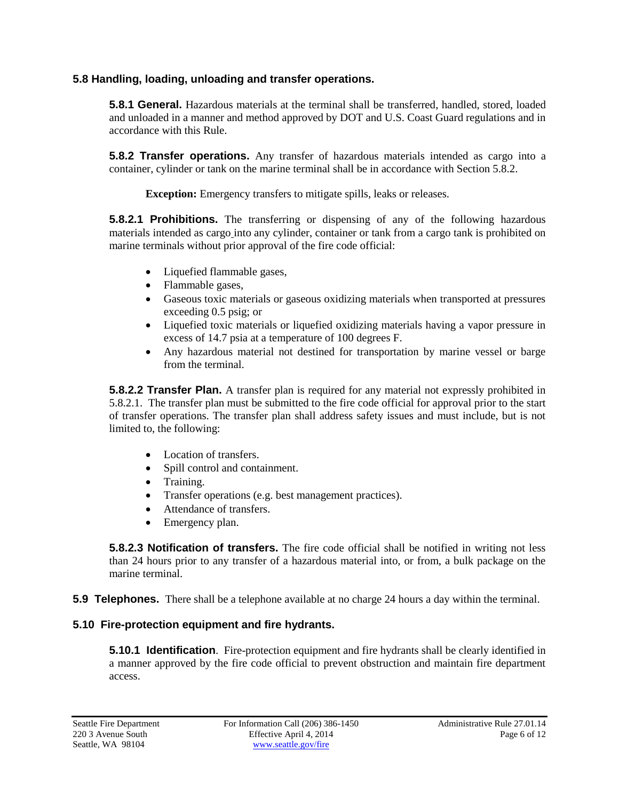#### **5.8 Handling, loading, unloading and transfer operations.**

**5.8.1 General.** Hazardous materials at the terminal shall be transferred, handled, stored, loaded and unloaded in a manner and method approved by DOT and U.S. Coast Guard regulations and in accordance with this Rule.

**5.8.2 Transfer operations.** Any transfer of hazardous materials intended as cargo into a container, cylinder or tank on the marine terminal shall be in accordance with Section 5.8.2.

**Exception:** Emergency transfers to mitigate spills, leaks or releases.

**5.8.2.1 Prohibitions.** The transferring or dispensing of any of the following hazardous materials intended as cargo into any cylinder, container or tank from a cargo tank is prohibited on marine terminals without prior approval of the fire code official:

- Liquefied flammable gases,
- Flammable gases,
- Gaseous toxic materials or gaseous oxidizing materials when transported at pressures exceeding 0.5 psig; or
- Liquefied toxic materials or liquefied oxidizing materials having a vapor pressure in excess of 14.7 psia at a temperature of 100 degrees F.
- Any hazardous material not destined for transportation by marine vessel or barge from the terminal.

**5.8.2.2 Transfer Plan.** A transfer plan is required for any material not expressly prohibited in 5.8.2.1. The transfer plan must be submitted to the fire code official for approval prior to the start of transfer operations. The transfer plan shall address safety issues and must include, but is not limited to, the following:

- Location of transfers.
- Spill control and containment.
- Training.
- Transfer operations (e.g. best management practices).
- Attendance of transfers.
- Emergency plan.

**5.8.2.3 Notification of transfers.** The fire code official shall be notified in writing not less than 24 hours prior to any transfer of a hazardous material into, or from, a bulk package on the marine terminal.

**5.9 Telephones.** There shall be a telephone available at no charge 24 hours a day within the terminal.

# **5.10 Fire-protection equipment and fire hydrants.**

**5.10.1 Identification**. Fire-protection equipment and fire hydrants shall be clearly identified in a manner approved by the fire code official to prevent obstruction and maintain fire department access.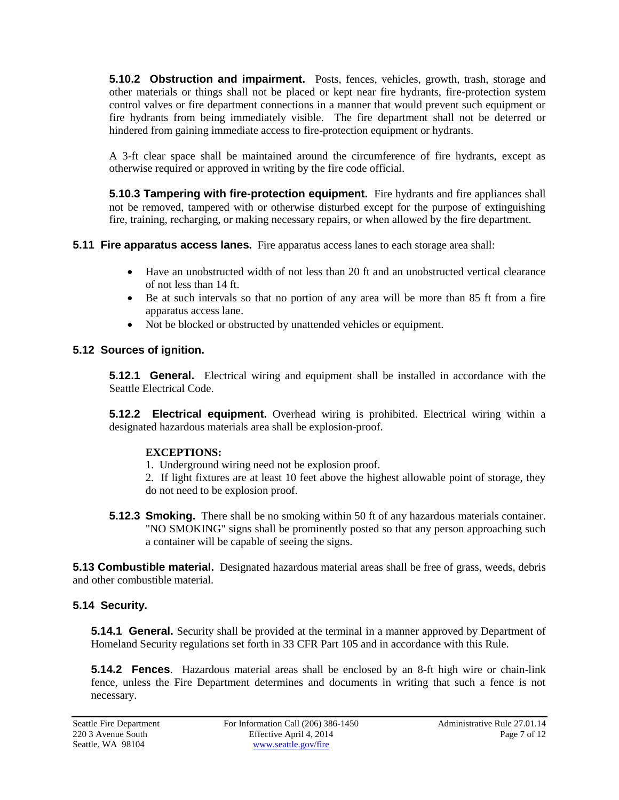**5.10.2 Obstruction and impairment.** Posts, fences, vehicles, growth, trash, storage and other materials or things shall not be placed or kept near fire hydrants, fire-protection system control valves or fire department connections in a manner that would prevent such equipment or fire hydrants from being immediately visible. The fire department shall not be deterred or hindered from gaining immediate access to fire-protection equipment or hydrants.

A 3-ft clear space shall be maintained around the circumference of fire hydrants, except as otherwise required or approved in writing by the fire code official.

**5.10.3 Tampering with fire-protection equipment.** Fire hydrants and fire appliances shall not be removed, tampered with or otherwise disturbed except for the purpose of extinguishing fire, training, recharging, or making necessary repairs, or when allowed by the fire department.

**5.11 Fire apparatus access lanes.** Fire apparatus access lanes to each storage area shall:

- Have an unobstructed width of not less than 20 ft and an unobstructed vertical clearance of not less than 14 ft.
- Be at such intervals so that no portion of any area will be more than 85 ft from a fire apparatus access lane.
- Not be blocked or obstructed by unattended vehicles or equipment.

# **5.12 Sources of ignition.**

**5.12.1 General.** Electrical wiring and equipment shall be installed in accordance with the Seattle Electrical Code.

**5.12.2 Electrical equipment.** Overhead wiring is prohibited. Electrical wiring within a designated hazardous materials area shall be explosion-proof.

# **EXCEPTIONS:**

- 1. Underground wiring need not be explosion proof.
- 2. If light fixtures are at least 10 feet above the highest allowable point of storage, they do not need to be explosion proof.
- **5.12.3 Smoking.** There shall be no smoking within 50 ft of any hazardous materials container. "NO SMOKING" signs shall be prominently posted so that any person approaching such a container will be capable of seeing the signs.

**5.13 Combustible material.** Designated hazardous material areas shall be free of grass, weeds, debris and other combustible material.

# **5.14 Security.**

**5.14.1 General.** Security shall be provided at the terminal in a manner approved by Department of Homeland Security regulations set forth in 33 CFR Part 105 and in accordance with this Rule.

**5.14.2 Fences**. Hazardous material areas shall be enclosed by an 8-ft high wire or chain-link fence, unless the Fire Department determines and documents in writing that such a fence is not necessary.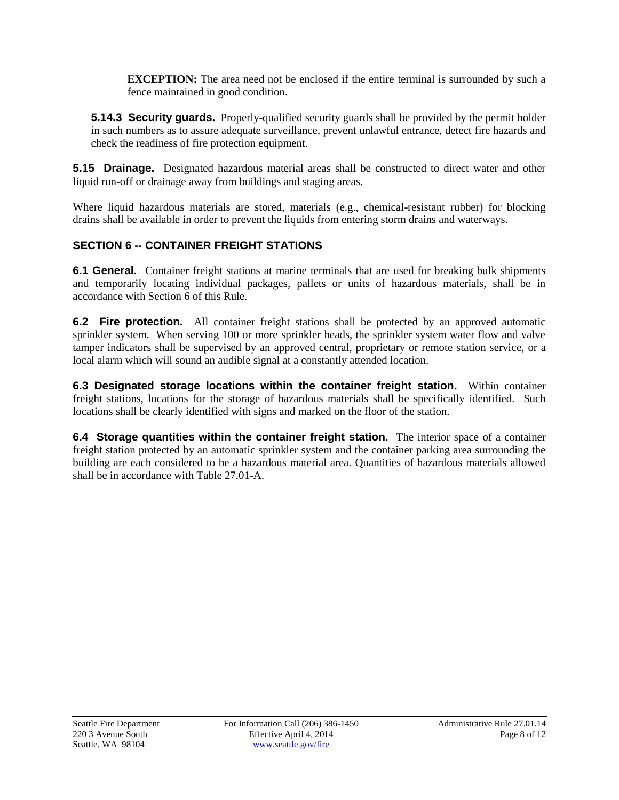**EXCEPTION:** The area need not be enclosed if the entire terminal is surrounded by such a fence maintained in good condition.

**5.14.3 Security guards.** Properly-qualified security guards shall be provided by the permit holder in such numbers as to assure adequate surveillance, prevent unlawful entrance, detect fire hazards and check the readiness of fire protection equipment.

**5.15 Drainage.** Designated hazardous material areas shall be constructed to direct water and other liquid run-off or drainage away from buildings and staging areas.

Where liquid hazardous materials are stored, materials (e.g., chemical-resistant rubber) for blocking drains shall be available in order to prevent the liquids from entering storm drains and waterways.

# **SECTION 6 -- CONTAINER FREIGHT STATIONS**

**6.1 General.** Container freight stations at marine terminals that are used for breaking bulk shipments and temporarily locating individual packages, pallets or units of hazardous materials, shall be in accordance with Section 6 of this Rule.

**6.2 Fire protection.** All container freight stations shall be protected by an approved automatic sprinkler system. When serving 100 or more sprinkler heads, the sprinkler system water flow and valve tamper indicators shall be supervised by an approved central, proprietary or remote station service, or a local alarm which will sound an audible signal at a constantly attended location.

**6.3 Designated storage locations within the container freight station.** Within container freight stations, locations for the storage of hazardous materials shall be specifically identified. Such locations shall be clearly identified with signs and marked on the floor of the station.

**6.4 Storage quantities within the container freight station.** The interior space of a container freight station protected by an automatic sprinkler system and the container parking area surrounding the building are each considered to be a hazardous material area. Quantities of hazardous materials allowed shall be in accordance with Table 27.01-A.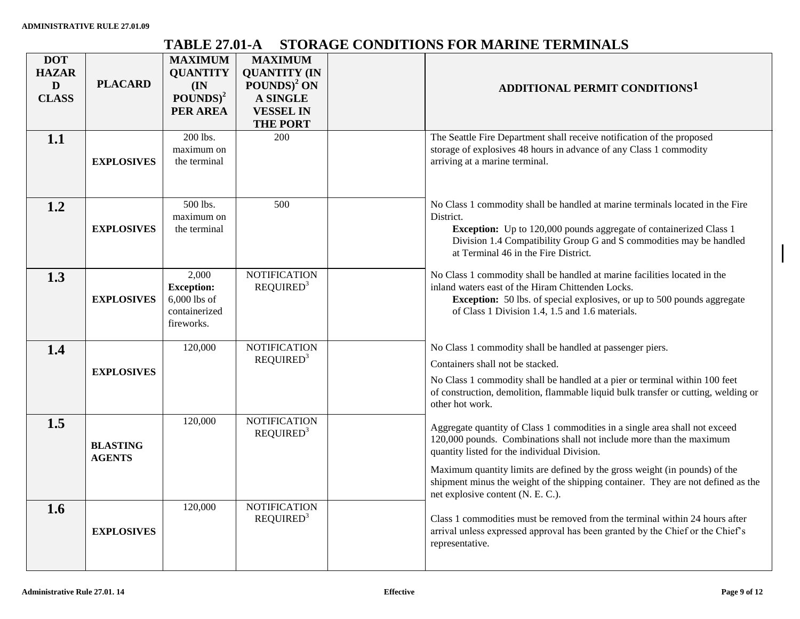# **TABLE 27.01-A STORAGE CONDITIONS FOR MARINE TERMINALS**

| <b>DOT</b><br><b>HAZAR</b><br>D<br><b>CLASS</b> | <b>PLACARD</b>                   | <b>MAXIMUM</b><br><b>QUANTITY</b><br>(IN)<br>$\text{POUNDS}$ <sup>2</sup><br>PER AREA | <b>MAXIMUM</b><br><b>QUANTITY (IN</b><br>$POUNDS)^2 ON$<br><b>A SINGLE</b><br><b>VESSEL IN</b><br><b>THE PORT</b> | ADDITIONAL PERMIT CONDITIONS <sup>1</sup>                                                                                                                                                                                                                                                                                                                                                                  |
|-------------------------------------------------|----------------------------------|---------------------------------------------------------------------------------------|-------------------------------------------------------------------------------------------------------------------|------------------------------------------------------------------------------------------------------------------------------------------------------------------------------------------------------------------------------------------------------------------------------------------------------------------------------------------------------------------------------------------------------------|
| 1.1                                             | <b>EXPLOSIVES</b>                | 200 lbs.<br>maximum on<br>the terminal                                                | 200                                                                                                               | The Seattle Fire Department shall receive notification of the proposed<br>storage of explosives 48 hours in advance of any Class 1 commodity<br>arriving at a marine terminal.                                                                                                                                                                                                                             |
| 1.2                                             | <b>EXPLOSIVES</b>                | 500 lbs.<br>maximum on<br>the terminal                                                | 500                                                                                                               | No Class 1 commodity shall be handled at marine terminals located in the Fire<br>District.<br><b>Exception:</b> Up to 120,000 pounds aggregate of containerized Class 1<br>Division 1.4 Compatibility Group G and S commodities may be handled<br>at Terminal 46 in the Fire District.                                                                                                                     |
| 1.3                                             | <b>EXPLOSIVES</b>                | 2,000<br><b>Exception:</b><br>$6,000$ lbs of<br>containerized<br>fireworks.           | <b>NOTIFICATION</b><br>REQUIRED <sup>3</sup>                                                                      | No Class 1 commodity shall be handled at marine facilities located in the<br>inland waters east of the Hiram Chittenden Locks.<br><b>Exception:</b> 50 lbs. of special explosives, or up to 500 pounds aggregate<br>of Class 1 Division 1.4, 1.5 and 1.6 materials.                                                                                                                                        |
| 1.4                                             | <b>EXPLOSIVES</b>                | 120,000                                                                               | <b>NOTIFICATION</b><br>REQUIRED <sup>3</sup>                                                                      | No Class 1 commodity shall be handled at passenger piers.<br>Containers shall not be stacked.<br>No Class 1 commodity shall be handled at a pier or terminal within 100 feet<br>of construction, demolition, flammable liquid bulk transfer or cutting, welding or<br>other hot work.                                                                                                                      |
| 1.5                                             | <b>BLASTING</b><br><b>AGENTS</b> | 120,000                                                                               | <b>NOTIFICATION</b><br>REQUIRED <sup>3</sup>                                                                      | Aggregate quantity of Class 1 commodities in a single area shall not exceed<br>120,000 pounds. Combinations shall not include more than the maximum<br>quantity listed for the individual Division.<br>Maximum quantity limits are defined by the gross weight (in pounds) of the<br>shipment minus the weight of the shipping container. They are not defined as the<br>net explosive content (N. E. C.). |
| 1.6                                             | <b>EXPLOSIVES</b>                | 120,000                                                                               | <b>NOTIFICATION</b><br>REQUIRED <sup>3</sup>                                                                      | Class 1 commodities must be removed from the terminal within 24 hours after<br>arrival unless expressed approval has been granted by the Chief or the Chief's<br>representative.                                                                                                                                                                                                                           |

 $\mathbf{I}$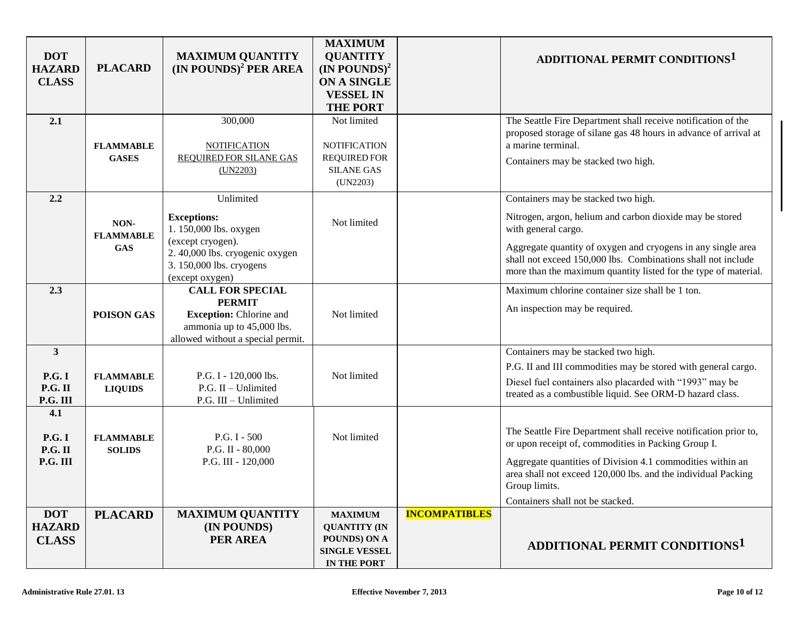| <b>DOT</b><br><b>HAZARD</b><br><b>CLASS</b> | <b>PLACARD</b>                         | <b>MAXIMUM QUANTITY</b><br>$(IN$ POUNDS) <sup>2</sup> PER AREA                                                                                                | <b>MAXIMUM</b><br><b>QUANTITY</b><br>$(IN$ POUNDS) <sup>2</sup><br>ON A SINGLE<br><b>VESSEL IN</b><br><b>THE PORT</b> |                      | ADDITIONAL PERMIT CONDITIONS <sup>1</sup>                                                                                                                                                                                                                                                                                 |
|---------------------------------------------|----------------------------------------|---------------------------------------------------------------------------------------------------------------------------------------------------------------|-----------------------------------------------------------------------------------------------------------------------|----------------------|---------------------------------------------------------------------------------------------------------------------------------------------------------------------------------------------------------------------------------------------------------------------------------------------------------------------------|
| 2.1                                         | <b>FLAMMABLE</b><br><b>GASES</b>       | 300,000<br><b>NOTIFICATION</b><br><b>REQUIRED FOR SILANE GAS</b><br>(UN2203)                                                                                  | Not limited<br><b>NOTIFICATION</b><br><b>REQUIRED FOR</b><br><b>SILANE GAS</b><br>(UN2203)                            |                      | The Seattle Fire Department shall receive notification of the<br>proposed storage of silane gas 48 hours in advance of arrival at<br>a marine terminal.<br>Containers may be stacked two high.                                                                                                                            |
| 2.2                                         | NON-<br><b>FLAMMABLE</b><br><b>GAS</b> | Unlimited<br><b>Exceptions:</b><br>1.150,000 lbs. oxygen<br>(except cryogen).<br>2.40,000 lbs. cryogenic oxygen<br>3.150,000 lbs. cryogens<br>(except oxygen) | Not limited                                                                                                           |                      | Containers may be stacked two high.<br>Nitrogen, argon, helium and carbon dioxide may be stored<br>with general cargo.<br>Aggregate quantity of oxygen and cryogens in any single area<br>shall not exceed 150,000 lbs. Combinations shall not include<br>more than the maximum quantity listed for the type of material. |
| 2.3                                         | POISON GAS                             | <b>CALL FOR SPECIAL</b><br><b>PERMIT</b><br><b>Exception:</b> Chlorine and<br>ammonia up to 45,000 lbs.<br>allowed without a special permit.                  | Not limited                                                                                                           |                      | Maximum chlorine container size shall be 1 ton.<br>An inspection may be required.                                                                                                                                                                                                                                         |
| 3<br><b>P.G. I</b><br>P.G. II<br>P.G. III   | <b>FLAMMABLE</b><br><b>LIQUIDS</b>     | P.G. I - 120,000 lbs.<br>P.G. II - Unlimited<br>P.G. III - Unlimited                                                                                          | Not limited                                                                                                           |                      | Containers may be stacked two high.<br>P.G. II and III commodities may be stored with general cargo.<br>Diesel fuel containers also placarded with "1993" may be<br>treated as a combustible liquid. See ORM-D hazard class.                                                                                              |
| 4.1<br><b>P.G. I</b><br>P.G. II<br>P.G. III | <b>FLAMMABLE</b><br><b>SOLIDS</b>      | P.G. I - 500<br>P.G. II - 80,000<br>P.G. III - 120,000                                                                                                        | Not limited                                                                                                           |                      | The Seattle Fire Department shall receive notification prior to,<br>or upon receipt of, commodities in Packing Group I.<br>Aggregate quantities of Division 4.1 commodities within an<br>area shall not exceed 120,000 lbs. and the individual Packing<br>Group limits.<br>Containers shall not be stacked.               |
| <b>DOT</b><br><b>HAZARD</b><br><b>CLASS</b> | <b>PLACARD</b>                         | <b>MAXIMUM QUANTITY</b><br>(IN POUNDS)<br>PER AREA                                                                                                            | <b>MAXIMUM</b><br><b>QUANTITY (IN</b><br>POUNDS) ON A<br><b>SINGLE VESSEL</b><br>IN THE PORT                          | <b>INCOMPATIBLES</b> | <b>ADDITIONAL PERMIT CONDITIONS1</b>                                                                                                                                                                                                                                                                                      |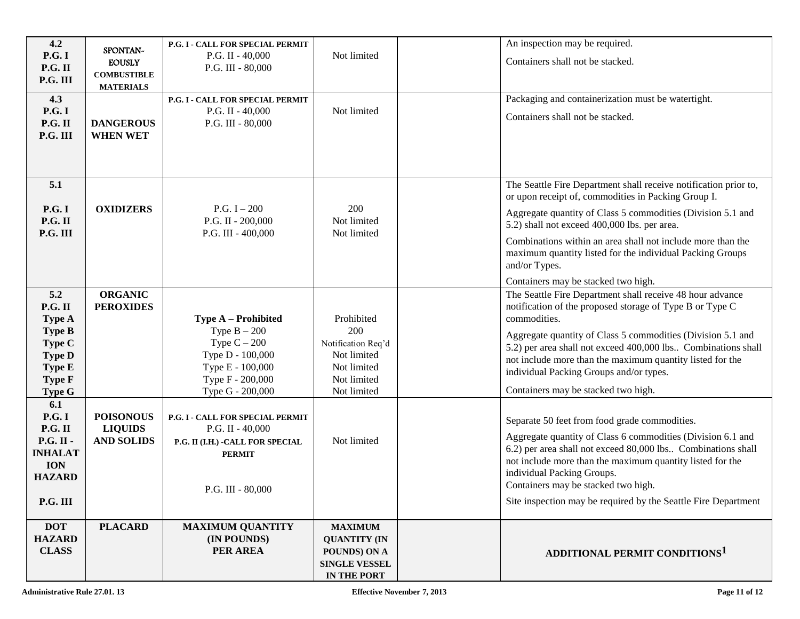| 4.2<br><b>P.G.I</b><br>P.G. II<br>P.G. III                                                                                                                                                                              | SPONTAN-<br><b>EOUSLY</b><br><b>COMBUSTIBLE</b><br><b>MATERIALS</b>                           | P.G. I - CALL FOR SPECIAL PERMIT<br>P.G. II - $40,000$<br>P.G. III - $80,000$                                                                                                                                                                           | Not limited                                                                                                        | An inspection may be required.<br>Containers shall not be stacked.                                                                                                                                                                                                                                                                                                                                                                                                                                                                                                                                                                                                                                                                     |
|-------------------------------------------------------------------------------------------------------------------------------------------------------------------------------------------------------------------------|-----------------------------------------------------------------------------------------------|---------------------------------------------------------------------------------------------------------------------------------------------------------------------------------------------------------------------------------------------------------|--------------------------------------------------------------------------------------------------------------------|----------------------------------------------------------------------------------------------------------------------------------------------------------------------------------------------------------------------------------------------------------------------------------------------------------------------------------------------------------------------------------------------------------------------------------------------------------------------------------------------------------------------------------------------------------------------------------------------------------------------------------------------------------------------------------------------------------------------------------------|
| 4.3<br>P.G. I<br>P.G. II<br>P.G. III                                                                                                                                                                                    | <b>DANGEROUS</b><br><b>WHEN WET</b>                                                           | P.G. I - CALL FOR SPECIAL PERMIT<br>P.G. II - $40,000$<br>P.G. III - 80,000                                                                                                                                                                             | Not limited                                                                                                        | Packaging and containerization must be watertight.<br>Containers shall not be stacked.                                                                                                                                                                                                                                                                                                                                                                                                                                                                                                                                                                                                                                                 |
| 5.1<br><b>P.G.I</b><br>P.G. II<br>P.G. III                                                                                                                                                                              | <b>OXIDIZERS</b>                                                                              | P.G. $I - 200$<br>P.G. II - 200,000<br>P.G. III - $400,000$                                                                                                                                                                                             | 200<br>Not limited<br>Not limited                                                                                  | The Seattle Fire Department shall receive notification prior to,<br>or upon receipt of, commodities in Packing Group I.<br>Aggregate quantity of Class 5 commodities (Division 5.1 and<br>5.2) shall not exceed 400,000 lbs. per area.<br>Combinations within an area shall not include more than the<br>maximum quantity listed for the individual Packing Groups<br>and/or Types.<br>Containers may be stacked two high.                                                                                                                                                                                                                                                                                                             |
| 5.2<br>P.G. II<br><b>Type A</b><br><b>Type B</b><br>Type C<br><b>Type D</b><br>Type E<br><b>Type F</b><br><b>Type G</b><br>6.1<br><b>P.G.I</b><br>P.G. II<br>P.G. II -<br><b>INHALAT</b><br><b>ION</b><br><b>HAZARD</b> | <b>ORGANIC</b><br><b>PEROXIDES</b><br><b>POISONOUS</b><br><b>LIQUIDS</b><br><b>AND SOLIDS</b> | Type A - Prohibited<br>Type $B - 200$<br>Type $C - 200$<br>Type D - 100,000<br>Type E - 100,000<br>Type F - 200,000<br>Type G - 200,000<br>P.G. I - CALL FOR SPECIAL PERMIT<br>P.G. II - $40,000$<br>P.G. II (I.H.) - CALL FOR SPECIAL<br><b>PERMIT</b> | Prohibited<br>200<br>Notification Req'd<br>Not limited<br>Not limited<br>Not limited<br>Not limited<br>Not limited | The Seattle Fire Department shall receive 48 hour advance<br>notification of the proposed storage of Type B or Type C<br>commodities.<br>Aggregate quantity of Class 5 commodities (Division 5.1 and<br>5.2) per area shall not exceed 400,000 lbs Combinations shall<br>not include more than the maximum quantity listed for the<br>individual Packing Groups and/or types.<br>Containers may be stacked two high.<br>Separate 50 feet from food grade commodities.<br>Aggregate quantity of Class 6 commodities (Division 6.1 and<br>6.2) per area shall not exceed 80,000 lbs Combinations shall<br>not include more than the maximum quantity listed for the<br>individual Packing Groups.<br>Containers may be stacked two high. |
| P.G. III<br><b>DOT</b><br><b>HAZARD</b><br><b>CLASS</b>                                                                                                                                                                 | <b>PLACARD</b>                                                                                | P.G. III - 80,000<br><b>MAXIMUM QUANTITY</b><br>(IN POUNDS)<br>PER AREA                                                                                                                                                                                 | <b>MAXIMUM</b><br><b>QUANTITY (IN</b><br>POUNDS) ON A<br><b>SINGLE VESSEL</b><br>IN THE PORT                       | Site inspection may be required by the Seattle Fire Department<br>ADDITIONAL PERMIT CONDITIONS <sup>1</sup>                                                                                                                                                                                                                                                                                                                                                                                                                                                                                                                                                                                                                            |